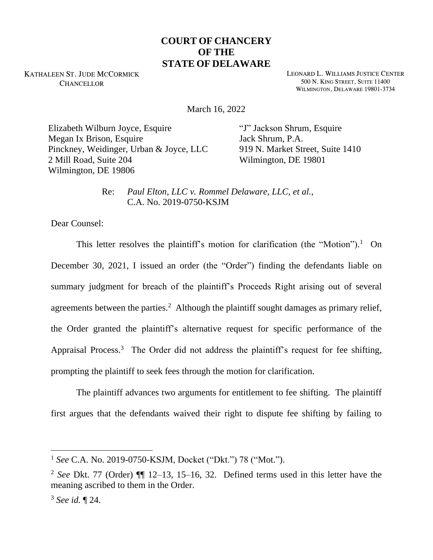## **COURT OF CHANCERY OF THE STATE OF DELAWARE**

KATHALEEN ST. JUDE MCCORMICK **CHANCELLOR** 

LEONARD L. WILLIAMS JUSTICE CENTER 500 N. KING STREET, SUITE 11400 WILMINGTON, DELAWARE 19801-3734

March 16, 2022

Elizabeth Wilburn Joyce, Esquire Megan Ix Brison, Esquire Pinckney, Weidinger, Urban & Joyce, LLC 2 Mill Road, Suite 204 Wilmington, DE 19806

"J" Jackson Shrum, Esquire Jack Shrum, P.A. 919 N. Market Street, Suite 1410 Wilmington, DE 19801

Re: *Paul Elton, LLC v. Rommel Delaware, LLC, et al.*, C.A. No. 2019-0750-KSJM

Dear Counsel:

This letter resolves the plaintiff's motion for clarification (the "Motion").<sup>1</sup> On December 30, 2021, I issued an order (the "Order") finding the defendants liable on summary judgment for breach of the plaintiff's Proceeds Right arising out of several agreements between the parties.<sup>2</sup> Although the plaintiff sought damages as primary relief, the Order granted the plaintiff's alternative request for specific performance of the Appraisal Process.<sup>3</sup> The Order did not address the plaintiff's request for fee shifting, prompting the plaintiff to seek fees through the motion for clarification.

The plaintiff advances two arguments for entitlement to fee shifting. The plaintiff first argues that the defendants waived their right to dispute fee shifting by failing to

<sup>1</sup> *See* C.A. No. 2019-0750-KSJM, Docket ("Dkt.") 78 ("Mot.").

<sup>2</sup> *See* Dkt. 77 (Order) ¶¶ 12–13, 15–16, 32. Defined terms used in this letter have the meaning ascribed to them in the Order.

<sup>3</sup> *See id.* ¶ 24.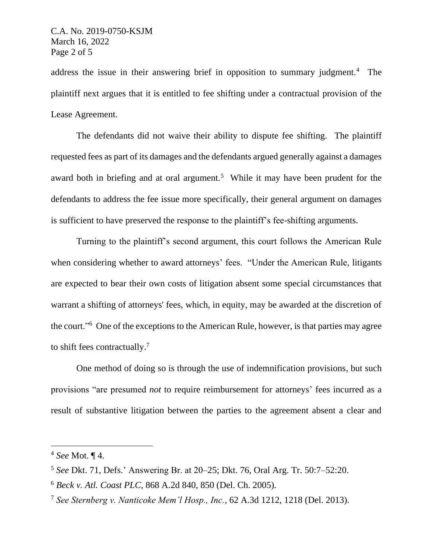address the issue in their answering brief in opposition to summary judgment.<sup>4</sup> The plaintiff next argues that it is entitled to fee shifting under a contractual provision of the Lease Agreement.

The defendants did not waive their ability to dispute fee shifting. The plaintiff requested fees as part of its damages and the defendants argued generally against a damages award both in briefing and at oral argument.<sup>5</sup> While it may have been prudent for the defendants to address the fee issue more specifically, their general argument on damages is sufficient to have preserved the response to the plaintiff's fee-shifting arguments.

Turning to the plaintiff's second argument, this court follows the American Rule when considering whether to award attorneys' fees. "Under the American Rule, litigants are expected to bear their own costs of litigation absent some special circumstances that warrant a shifting of attorneys' fees, which, in equity, may be awarded at the discretion of the court."<sup>6</sup> One of the exceptions to the American Rule, however, is that parties may agree to shift fees contractually.<sup>7</sup>

One method of doing so is through the use of indemnification provisions, but such provisions "are presumed *not* to require reimbursement for attorneys' fees incurred as a result of substantive litigation between the parties to the agreement absent a clear and

<sup>4</sup> *See* Mot. ¶ 4.

<sup>5</sup> *See* Dkt. 71, Defs.' Answering Br. at 20–25; Dkt. 76, Oral Arg. Tr. 50:7–52:20.

<sup>6</sup> *Beck v. Atl. Coast PLC*, 868 A.2d 840, 850 (Del. Ch. 2005).

<sup>7</sup> *See Sternberg v. Nanticoke Mem'l Hosp., Inc.*, 62 A.3d 1212, 1218 (Del. 2013).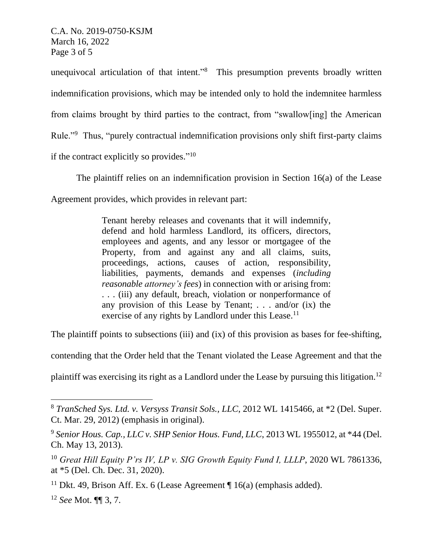C.A. No. 2019-0750-KSJM March 16, 2022 Page 3 of 5

unequivocal articulation of that intent."<sup>8</sup> This presumption prevents broadly written indemnification provisions, which may be intended only to hold the indemnitee harmless from claims brought by third parties to the contract, from "swallow[ing] the American Rule."<sup>9</sup> Thus, "purely contractual indemnification provisions only shift first-party claims if the contract explicitly so provides." $10$ 

The plaintiff relies on an indemnification provision in Section 16(a) of the Lease

Agreement provides, which provides in relevant part:

Tenant hereby releases and covenants that it will indemnify, defend and hold harmless Landlord, its officers, directors, employees and agents, and any lessor or mortgagee of the Property, from and against any and all claims, suits, proceedings, actions, causes of action, responsibility, liabilities, payments, demands and expenses (*including reasonable attorney's fees*) in connection with or arising from: . . . (iii) any default, breach, violation or nonperformance of any provision of this Lease by Tenant; . . . and/or (ix) the exercise of any rights by Landlord under this Lease.<sup>11</sup>

The plaintiff points to subsections (iii) and (ix) of this provision as bases for fee-shifting,

contending that the Order held that the Tenant violated the Lease Agreement and that the

plaintiff was exercising its right as a Landlord under the Lease by pursuing this litigation.<sup>12</sup>

<sup>8</sup> *TranSched Sys. Ltd. v. Versyss Transit Sols., LLC*, 2012 WL 1415466, at \*2 (Del. Super. Ct. Mar. 29, 2012) (emphasis in original).

<sup>9</sup> *Senior Hous. Cap., LLC v. SHP Senior Hous. Fund, LLC*, 2013 WL 1955012, at \*44 (Del. Ch. May 13, 2013).

<sup>&</sup>lt;sup>10</sup> *Great Hill Equity P'rs IV, LP v. SIG Growth Equity Fund I, LLLP, 2020 WL 7861336,* at \*5 (Del. Ch. Dec. 31, 2020).

<sup>&</sup>lt;sup>11</sup> Dkt. 49, Brison Aff. Ex. 6 (Lease Agreement  $\P$  16(a) (emphasis added).

<sup>12</sup> *See* Mot. ¶¶ 3, 7.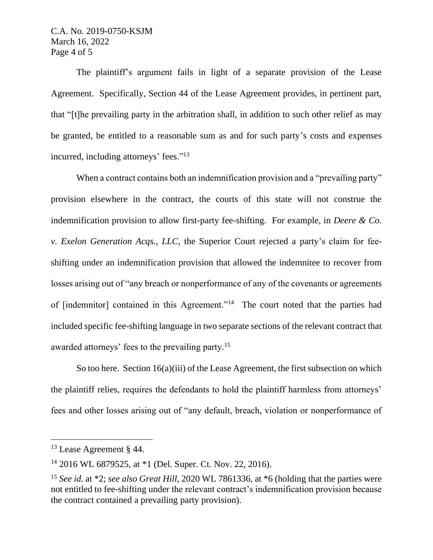## C.A. No. 2019-0750-KSJM March 16, 2022 Page 4 of 5

The plaintiff's argument fails in light of a separate provision of the Lease Agreement. Specifically, Section 44 of the Lease Agreement provides, in pertinent part, that "[t]he prevailing party in the arbitration shall, in addition to such other relief as may be granted, be entitled to a reasonable sum as and for such party's costs and expenses incurred, including attorneys' fees."<sup>13</sup>

When a contract contains both an indemnification provision and a "prevailing party" provision elsewhere in the contract, the courts of this state will not construe the indemnification provision to allow first-party fee-shifting. For example, in *Deere & Co. v. Exelon Generation Acqs., LLC*, the Superior Court rejected a party's claim for feeshifting under an indemnification provision that allowed the indemnitee to recover from losses arising out of "any breach or nonperformance of any of the covenants or agreements of [indemnitor] contained in this Agreement."<sup>14</sup> The court noted that the parties had included specific fee-shifting language in two separate sections of the relevant contract that awarded attorneys' fees to the prevailing party.<sup>15</sup>

So too here. Section 16(a)(iii) of the Lease Agreement, the first subsection on which the plaintiff relies, requires the defendants to hold the plaintiff harmless from attorneys' fees and other losses arising out of "any default, breach, violation or nonperformance of

<sup>&</sup>lt;sup>13</sup> Lease Agreement § 44.

<sup>14</sup> 2016 WL 6879525, at \*1 (Del. Super. Ct. Nov. 22, 2016).

<sup>15</sup> *See id.* at \*2; *see also Great Hill*, 2020 WL 7861336, at \*6 (holding that the parties were not entitled to fee-shifting under the relevant contract's indemnification provision because the contract contained a prevailing party provision).